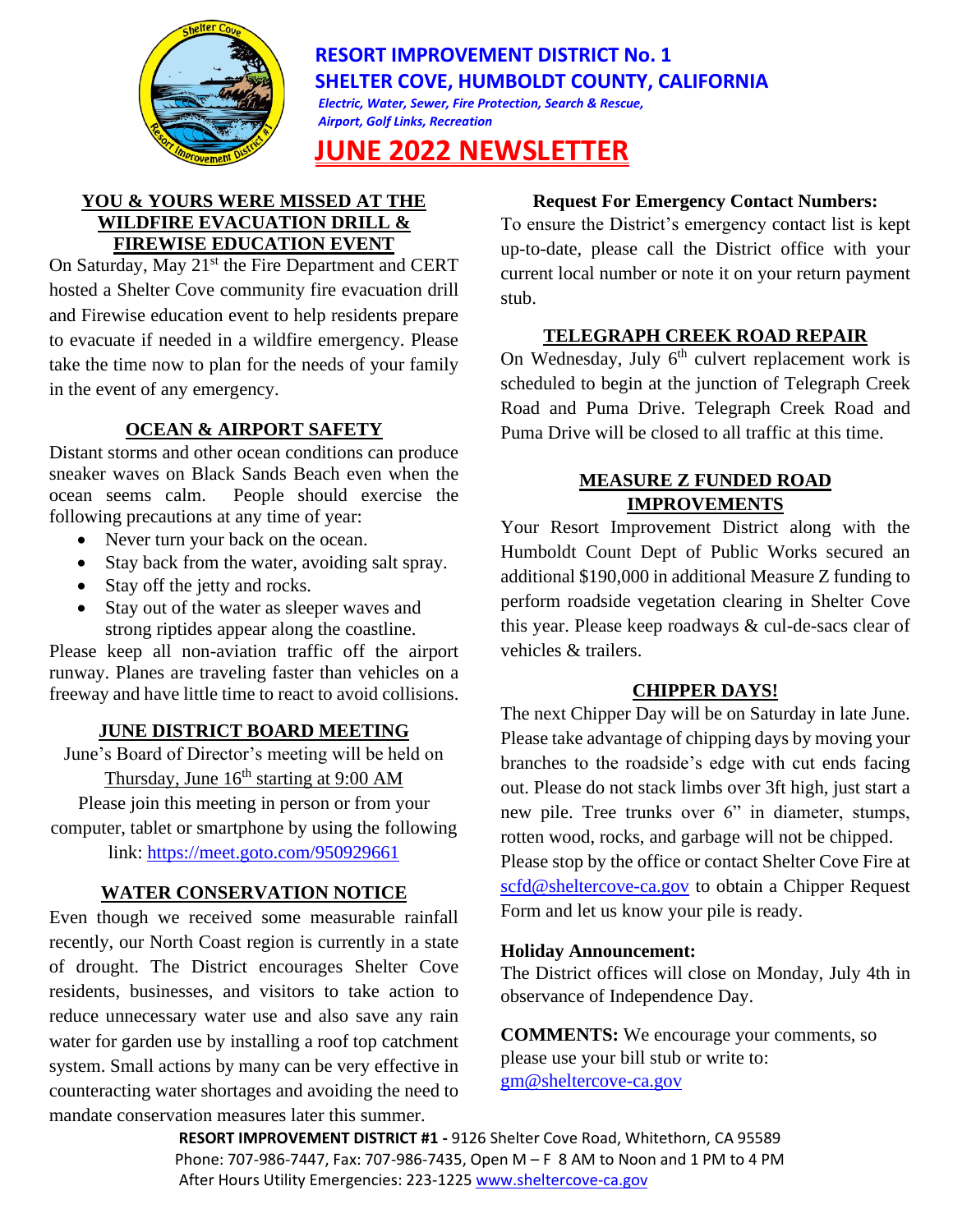

# **RESORT IMPROVEMENT DISTRICT No. 1 SHELTER COVE, HUMBOLDT COUNTY, CALIFORNIA** *Electric, Water, Sewer, Fire Protection, Search & Rescue,*

*Airport, Golf Links, Recreation*

# **JUNE 2022 NEWSLETTER**

### **YOU & YOURS WERE MISSED AT THE WILDFIRE EVACUATION DRILL & FIREWISE EDUCATION EVENT**

On Saturday, May 21<sup>st</sup> the Fire Department and CERT hosted a Shelter Cove community fire evacuation drill and Firewise education event to help residents prepare to evacuate if needed in a wildfire emergency. Please take the time now to plan for the needs of your family in the event of any emergency.

# **OCEAN & AIRPORT SAFETY**

Distant storms and other ocean conditions can produce sneaker waves on Black Sands Beach even when the ocean seems calm. People should exercise the following precautions at any time of year:

- Never turn your back on the ocean.
- Stay back from the water, avoiding salt spray.
- Stay off the jetty and rocks.
- Stay out of the water as sleeper waves and strong riptides appear along the coastline.

Please keep all non-aviation traffic off the airport runway. Planes are traveling faster than vehicles on a freeway and have little time to react to avoid collisions.

# **JUNE DISTRICT BOARD MEETING**

June's Board of Director's meeting will be held on Thursday, June  $16<sup>th</sup>$  starting at 9:00 AM

Please join this meeting in person or from your computer, tablet or smartphone by using the following link:<https://meet.goto.com/950929661>

# **WATER CONSERVATION NOTICE**

Even though we received some measurable rainfall recently, our North Coast region is currently in a state of drought. The District encourages Shelter Cove residents, businesses, and visitors to take action to reduce unnecessary water use and also save any rain water for garden use by installing a roof top catchment system. Small actions by many can be very effective in counteracting water shortages and avoiding the need to mandate conservation measures later this summer.

# **Request For Emergency Contact Numbers:**

To ensure the District's emergency contact list is kept up-to-date, please call the District office with your current local number or note it on your return payment stub.

# **TELEGRAPH CREEK ROAD REPAIR**

On Wednesday, July  $6<sup>th</sup>$  culvert replacement work is scheduled to begin at the junction of Telegraph Creek Road and Puma Drive. Telegraph Creek Road and Puma Drive will be closed to all traffic at this time.

## **MEASURE Z FUNDED ROAD IMPROVEMENTS**

Your Resort Improvement District along with the Humboldt Count Dept of Public Works secured an additional \$190,000 in additional Measure Z funding to perform roadside vegetation clearing in Shelter Cove this year. Please keep roadways & cul-de-sacs clear of vehicles & trailers.

# **CHIPPER DAYS!**

The next Chipper Day will be on Saturday in late June. Please take advantage of chipping days by moving your branches to the roadside's edge with cut ends facing out. Please do not stack limbs over 3ft high, just start a new pile. Tree trunks over 6" in diameter, stumps, rotten wood, rocks, and garbage will not be chipped. Please stop by the office or contact Shelter Cove Fire at [scfd@sheltercove-ca.gov](mailto:scfd@sheltercove-ca.gov) to obtain a Chipper Request Form and let us know your pile is ready.

### **Holiday Announcement:**

The District offices will close on Monday, July 4th in observance of Independence Day.

**COMMENTS:** We encourage your comments, so please use your bill stub or write to: [gm@sheltercove-ca.gov](mailto:gm@sheltercove-ca.gov)

**RESORT IMPROVEMENT DISTRICT #1 -** 9126 Shelter Cove Road, Whitethorn, CA 95589 Phone: 707-986-7447, Fax: 707-986-7435, Open M – F 8 AM to Noon and 1 PM to 4 PM After Hours Utility Emergencies: 223-1225 [www.sheltercove-ca.gov](http://www.ridno1.com/)